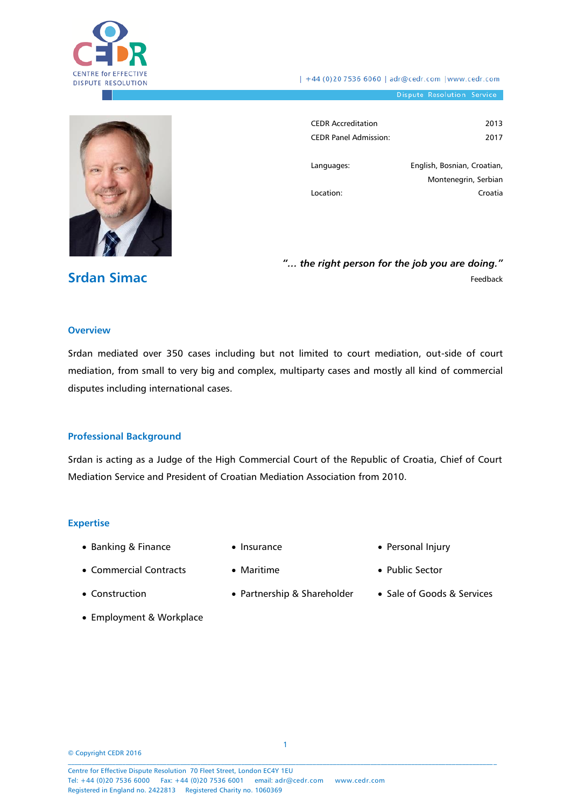

| +44 (0)20 7536 6060 | adr@cedr.com |www.cedr.com

Dispute Resolution Service



| <b>CEDR Accreditation</b>    | 2013                        |
|------------------------------|-----------------------------|
| <b>CEDR Panel Admission:</b> | 2017                        |
|                              |                             |
| Languages:                   | English, Bosnian, Croatian, |
|                              | Montenegrin, Serbian        |
| Location:                    | Croatia                     |
|                              |                             |

*"… the right person for the job you are doing."* Feedback

#### **Overview**

**Srdan Simac**

Srdan mediated over 350 cases including but not limited to court mediation, out-side of court mediation, from small to very big and complex, multiparty cases and mostly all kind of commercial disputes including international cases.

#### **Professional Background**

Srdan is acting as a Judge of the High Commercial Court of the Republic of Croatia, Chief of Court Mediation Service and President of Croatian Mediation Association from 2010.

#### **Expertise**

- Banking & Finance
- Insurance
- Commercial Contracts
- Maritime

• Personal Injury

• Construction

Partnership & Shareholder

- Public Sector
	- Sale of Goods & Services

Employment & Workplace

© Copyright CEDR 2016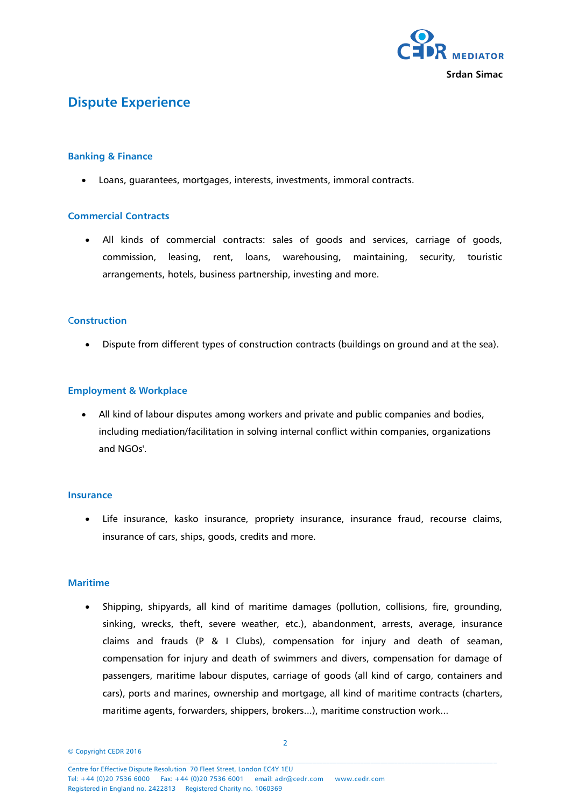

# **Dispute Experience**

## **Banking & Finance**

Loans, guarantees, mortgages, interests, investments, immoral contracts.

# **Commercial Contracts**

 All kinds of commercial contracts: sales of goods and services, carriage of goods, commission, leasing, rent, loans, warehousing, maintaining, security, touristic arrangements, hotels, business partnership, investing and more.

# C**onstruction**

Dispute from different types of construction contracts (buildings on ground and at the sea).

## **Employment & Workplace**

 All kind of labour disputes among workers and private and public companies and bodies, including mediation/facilitation in solving internal conflict within companies, organizations and NGOs'.

## **Insurance**

 Life insurance, kasko insurance, propriety insurance, insurance fraud, recourse claims, insurance of cars, ships, goods, credits and more.

## **Maritime**

 Shipping, shipyards, all kind of maritime damages (pollution, collisions, fire, grounding, sinking, wrecks, theft, severe weather, etc.), abandonment, arrests, average, insurance claims and frauds (P & I Clubs), compensation for injury and death of seaman, compensation for injury and death of swimmers and divers, compensation for damage of passengers, maritime labour disputes, carriage of goods (all kind of cargo, containers and cars), ports and marines, ownership and mortgage, all kind of maritime contracts (charters, maritime agents, forwarders, shippers, brokers...), maritime construction work...

© Copyright CEDR 2016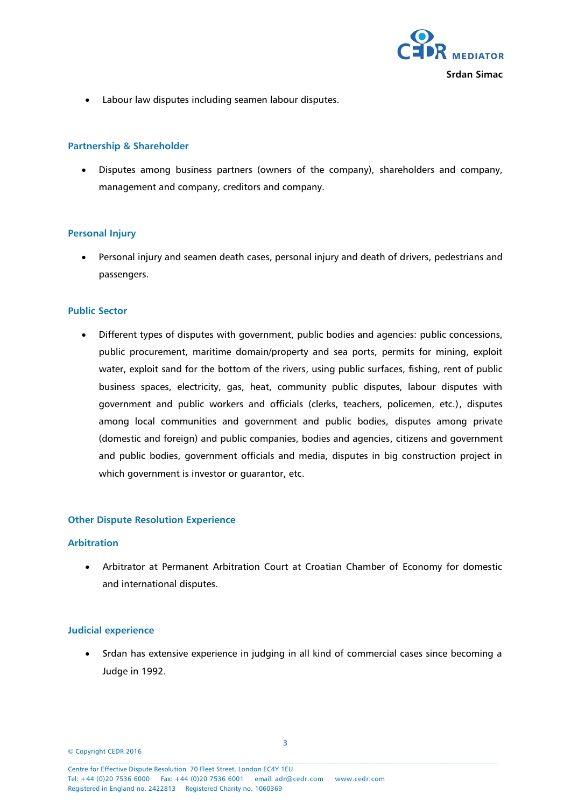

Labour law disputes including seamen labour disputes.

## **Partnership & Shareholder**

 Disputes among business partners (owners of the company), shareholders and company, management and company, creditors and company.

#### **Personal Injury**

 Personal injury and seamen death cases, personal injury and death of drivers, pedestrians and passengers.

#### **Public Sector**

 Different types of disputes with government, public bodies and agencies: public concessions, public procurement, maritime domain/property and sea ports, permits for mining, exploit water, exploit sand for the bottom of the rivers, using public surfaces, fishing, rent of public business spaces, electricity, gas, heat, community public disputes, labour disputes with government and public workers and officials (clerks, teachers, policemen, etc.), disputes among local communities and government and public bodies, disputes among private (domestic and foreign) and public companies, bodies and agencies, citizens and government and public bodies, government officials and media, disputes in big construction project in which government is investor or guarantor, etc.

#### **Other Dispute Resolution Experience**

#### **Arbitration**

 Arbitrator at Permanent Arbitration Court at Croatian Chamber of Economy for domestic and international disputes.

## **Judicial experience**

• Srdan has extensive experience in judging in all kind of commercial cases since becoming a Judge in 1992.

© Copyright CEDR 2016  $\mathcal{L} = \{ \mathcal{L} = \{ \mathcal{L} = \{ \mathcal{L} = \{ \mathcal{L} = \{ \mathcal{L} = \{ \mathcal{L} = \{ \mathcal{L} = \{ \mathcal{L} = \{ \mathcal{L} = \{ \mathcal{L} = \{ \mathcal{L} = \{ \mathcal{L} = \{ \mathcal{L} = \{ \mathcal{L} = \{ \mathcal{L} = \{ \mathcal{L} = \{ \mathcal{L} = \{ \mathcal{L} = \{ \mathcal{L} = \{ \mathcal{L} = \{ \mathcal{L} = \{ \mathcal{L} = \{ \mathcal{L} = \{ \mathcal{$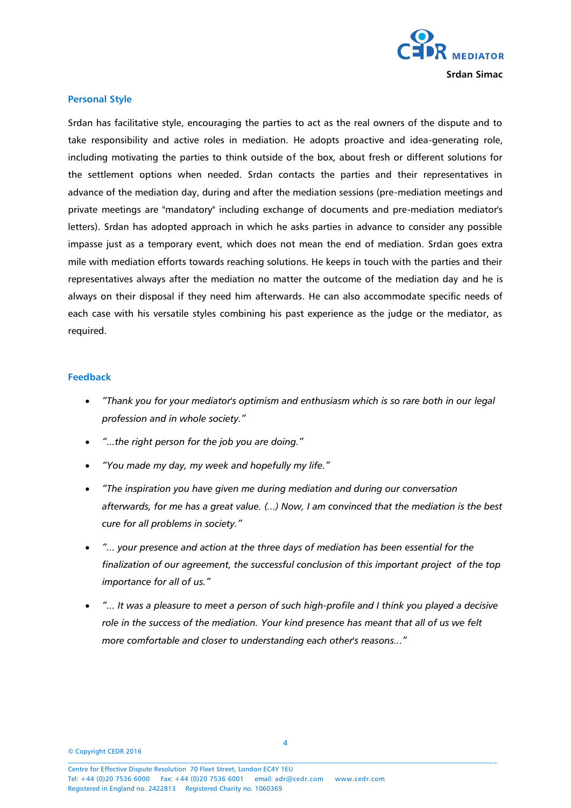

#### **Personal Style**

Srdan has facilitative style, encouraging the parties to act as the real owners of the dispute and to take responsibility and active roles in mediation. He adopts proactive and idea-generating role, including motivating the parties to think outside of the box, about fresh or different solutions for the settlement options when needed. Srdan contacts the parties and their representatives in advance of the mediation day, during and after the mediation sessions (pre-mediation meetings and private meetings are "mandatory" including exchange of documents and pre-mediation mediator's letters). Srdan has adopted approach in which he asks parties in advance to consider any possible impasse just as a temporary event, which does not mean the end of mediation. Srdan goes extra mile with mediation efforts towards reaching solutions. He keeps in touch with the parties and their representatives always after the mediation no matter the outcome of the mediation day and he is always on their disposal if they need him afterwards. He can also accommodate specific needs of each case with his versatile styles combining his past experience as the judge or the mediator, as required.

#### **Feedback**

- *"Thank you for your mediator's optimism and enthusiasm which is so rare both in our legal profession and in whole society."*
- *"...the right person for the job you are doing."*
- *"You made my day, my week and hopefully my life."*
- *"The inspiration you have given me during mediation and during our conversation afterwards, for me has a great value. (...) Now, I am convinced that the mediation is the best cure for all problems in society."*
- *"... your presence and action at the three days of mediation has been essential for the finalization of our agreement, the successful conclusion of this important project of the top importance for all of us."*
- *"... It was a pleasure to meet a person of such high-profile and I think you played a decisive role in the success of the mediation. Your kind presence has meant that all of us we felt more comfortable and closer to understanding each other's reasons..."*

© Copyright CEDR 2016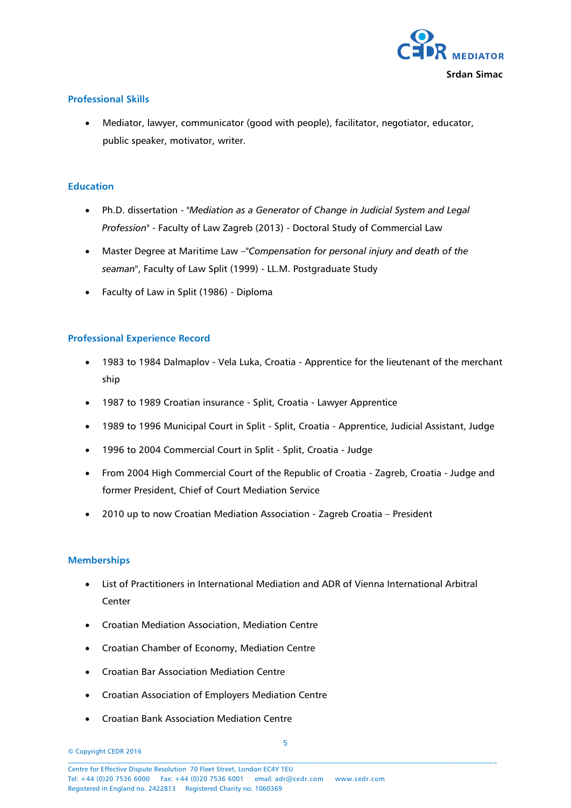

# **Professional Skills**

 Mediator, lawyer, communicator (good with people), facilitator, negotiator, educator, public speaker, motivator, writer.

# **Education**

- Ph.D. dissertation "*Mediation as a Generator of Change in Judicial System and Legal Profession*" - Faculty of Law Zagreb (2013) - Doctoral Study of Commercial Law
- Master Degree at Maritime Law –"*Compensation for personal injury and death of the seaman*", Faculty of Law Split (1999) - LL.M. Postgraduate Study
- Faculty of Law in Split (1986) Diploma

# **Professional Experience Record**

- 1983 to 1984 Dalmaplov Vela Luka, Croatia Apprentice for the lieutenant of the merchant ship
- 1987 to 1989 Croatian insurance Split, Croatia Lawyer Apprentice
- 1989 to 1996 Municipal Court in Split Split, Croatia Apprentice, Judicial Assistant, Judge
- 1996 to 2004 Commercial Court in Split Split, Croatia Judge
- From 2004 High Commercial Court of the Republic of Croatia Zagreb, Croatia Judge and former President, Chief of Court Mediation Service
- 2010 up to now Croatian Mediation Association Zagreb Croatia President

## **Memberships**

- List of Practitioners in International Mediation and ADR of Vienna International Arbitral Center
- Croatian Mediation Association, Mediation Centre
- Croatian Chamber of Economy, Mediation Centre
- Croatian Bar Association Mediation Centre
- Croatian Association of Employers Mediation Centre
- Croatian Bank Association Mediation Centre
- © Copyright CEDR 2016  $\mathcal{L} = \{ \mathcal{L} = \{ \mathcal{L} = \{ \mathcal{L} = \{ \mathcal{L} = \{ \mathcal{L} = \{ \mathcal{L} = \{ \mathcal{L} = \{ \mathcal{L} = \{ \mathcal{L} = \{ \mathcal{L} = \{ \mathcal{L} = \{ \mathcal{L} = \{ \mathcal{L} = \{ \mathcal{L} = \{ \mathcal{L} = \{ \mathcal{L} = \{ \mathcal{L} = \{ \mathcal{L} = \{ \mathcal{L} = \{ \mathcal{L} = \{ \mathcal{L} = \{ \mathcal{L} = \{ \mathcal{L} = \{ \mathcal{$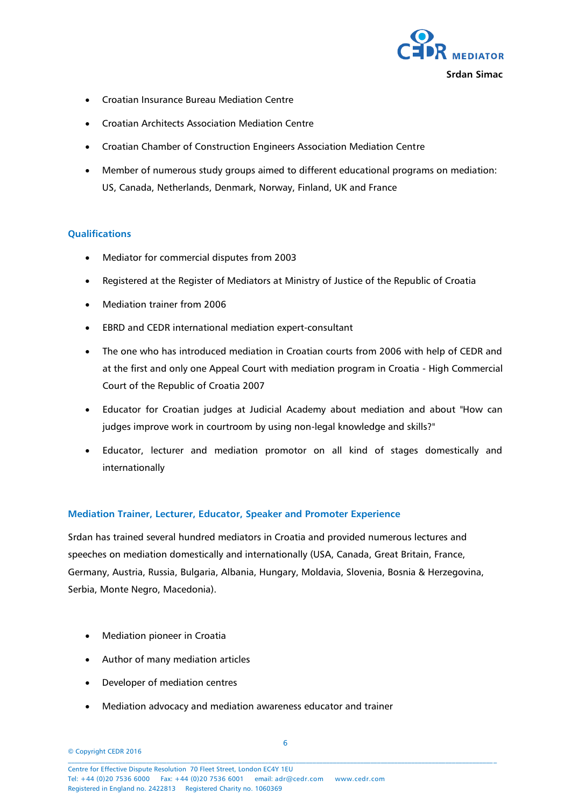

- Croatian Insurance Bureau Mediation Centre
- Croatian Architects Association Mediation Centre
- Croatian Chamber of Construction Engineers Association Mediation Centre
- Member of numerous study groups aimed to different educational programs on mediation: US, Canada, Netherlands, Denmark, Norway, Finland, UK and France

## **Qualifications**

- Mediator for commercial disputes from 2003
- Registered at the Register of Mediators at Ministry of Justice of the Republic of Croatia
- Mediation trainer from 2006
- EBRD and CEDR international mediation expert-consultant
- The one who has introduced mediation in Croatian courts from 2006 with help of CEDR and at the first and only one Appeal Court with mediation program in Croatia - High Commercial Court of the Republic of Croatia 2007
- Educator for Croatian judges at Judicial Academy about mediation and about "How can judges improve work in courtroom by using non-legal knowledge and skills?"
- Educator, lecturer and mediation promotor on all kind of stages domestically and internationally

## **Mediation Trainer, Lecturer, Educator, Speaker and Promoter Experience**

Srdan has trained several hundred mediators in Croatia and provided numerous lectures and speeches on mediation domestically and internationally (USA, Canada, Great Britain, France, Germany, Austria, Russia, Bulgaria, Albania, Hungary, Moldavia, Slovenia, Bosnia & Herzegovina, Serbia, Monte Negro, Macedonia).

- Mediation pioneer in Croatia
- Author of many mediation articles
- Developer of mediation centres
- Mediation advocacy and mediation awareness educator and trainer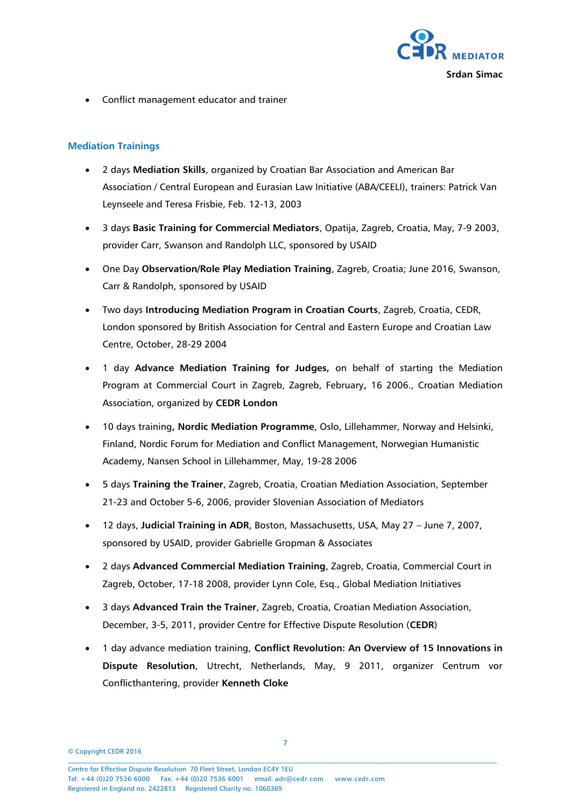

Conflict management educator and trainer

# **Mediation Trainings**

- 2 days **Mediation Skills**, organized by Croatian Bar Association and American Bar Association / Central European and Eurasian Law Initiative (ABA/CEELI), trainers: Patrick Van Leynseele and Teresa Frisbie, Feb. 12-13, 2003
- 3 days **Basic Training for Commercial Mediators**, Opatija, Zagreb, Croatia, May, 7-9 2003, provider Carr, Swanson and Randolph LLC, sponsored by USAID
- One Day **Observation/Role Play Mediation Training**, Zagreb, Croatia; June 2016, Swanson, Carr & Randolph, sponsored by USAID
- Two days **Introducing Mediation Program in Croatian Courts**, Zagreb, Croatia, CEDR, London sponsored by British Association for Central and Eastern Europe and Croatian Law Centre, October, 28-29 2004
- 1 day **Advance Mediation Training for Judges,** on behalf of starting the Mediation Program at Commercial Court in Zagreb, Zagreb, February**,** 16 2006., Croatian Mediation Association, organized by **CEDR London**
- 10 days training**, Nordic Mediation Programme**, Oslo, Lillehammer, Norway and Helsinki, Finland, Nordic Forum for Mediation and Conflict Management, Norwegian Humanistic Academy, Nansen School in Lillehammer, May, 19-28 2006
- 5 days **Training the Trainer**, Zagreb, Croatia, Croatian Mediation Association, September 21-23 and October 5-6, 2006, provider Slovenian Association of Mediators
- 12 days, **Judicial Training in ADR**, Boston, Massachusetts, USA, May 27 June 7, 2007, sponsored by USAID, provider Gabrielle Gropman & Associates
- 2 days **Advanced Commercial Mediation Training**, Zagreb, Croatia, Commercial Court in Zagreb, October, 17-18 2008, provider Lynn Cole, Esq., Global Mediation Initiatives
- 3 days **Advanced Train the Trainer**, Zagreb, Croatia, Croatian Mediation Association, December, 3-5, 2011, provider Centre for Effective Dispute Resolution (**CEDR**)
- 1 day advance mediation training, **Conflict Revolution: An Overview of 15 Innovations in Dispute Resolution**, Utrecht, Netherlands, May, 9 2011, organizer Centrum vor Conflicthantering, provider **Kenneth Cloke**

© Copyright CEDR 2016  $\mathcal{L} = \{ \mathcal{L} = \{ \mathcal{L} = \{ \mathcal{L} = \{ \mathcal{L} = \{ \mathcal{L} = \{ \mathcal{L} = \{ \mathcal{L} = \{ \mathcal{L} = \{ \mathcal{L} = \{ \mathcal{L} = \{ \mathcal{L} = \{ \mathcal{L} = \{ \mathcal{L} = \{ \mathcal{L} = \{ \mathcal{L} = \{ \mathcal{L} = \{ \mathcal{L} = \{ \mathcal{L} = \{ \mathcal{L} = \{ \mathcal{L} = \{ \mathcal{L} = \{ \mathcal{L} = \{ \mathcal{L} = \{ \mathcal{$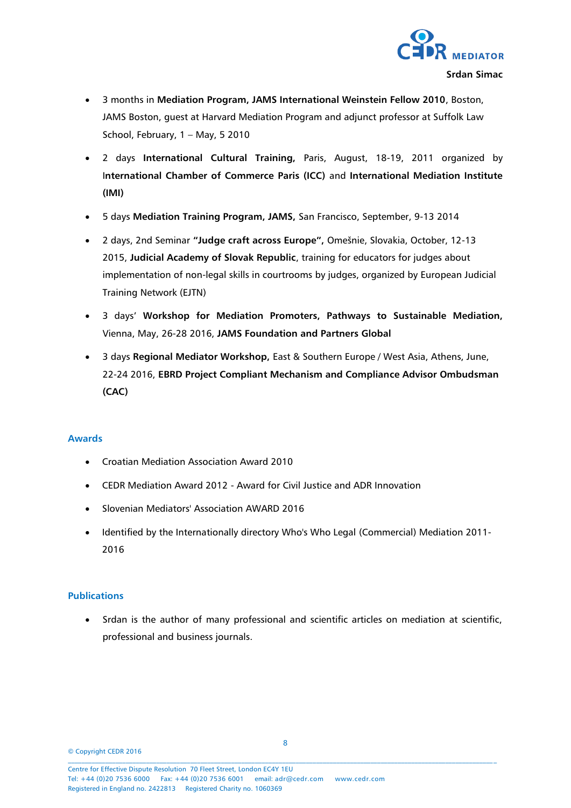

- 3 months in **Mediation Program, JAMS International Weinstein Fellow 2010**, Boston, JAMS Boston, guest at Harvard Mediation Program and adjunct professor at Suffolk Law School, February, 1 – May, 5 2010
- 2 days **International Cultural Training,** Paris, August, 18-19, 2011 organized by I**nternational Chamber of Commerce Paris (ICC)** and **International Mediation Institute (IMI)**
- 5 days **Mediation Training Program, JAMS,** San Francisco, September, 9-13 2014
- 2 days, 2nd Seminar **"Judge craft across Europe",** Omešnie, Slovakia, October, 12-13 2015, **Judicial Academy of Slovak Republic**, training for educators for judges about implementation of non-legal skills in courtrooms by judges, organized by European Judicial Training Network (EJTN)
- 3 days' **Workshop for Mediation Promoters, Pathways to Sustainable Mediation,**  Vienna, May, 26-28 2016, **JAMS Foundation and Partners Global**
- 3 days **Regional Mediator Workshop,** East & Southern Europe / West Asia, Athens, June, 22-24 2016, **EBRD Project Compliant Mechanism and Compliance Advisor Ombudsman (CAC)**

## **Awards**

- Croatian Mediation Association Award 2010
- CEDR Mediation Award 2012 Award for Civil Justice and ADR Innovation
- Slovenian Mediators' Association AWARD 2016
- Identified by the Internationally directory Who's Who Legal (Commercial) Mediation 2011-2016

## **Publications**

 Srdan is the author of many professional and scientific articles on mediation at scientific, professional and business journals.

© Copyright CEDR 2016  $\mathcal{L} = \{ \mathcal{L} = \{ \mathcal{L} = \{ \mathcal{L} = \{ \mathcal{L} = \{ \mathcal{L} = \{ \mathcal{L} = \{ \mathcal{L} = \{ \mathcal{L} = \{ \mathcal{L} = \{ \mathcal{L} = \{ \mathcal{L} = \{ \mathcal{L} = \{ \mathcal{L} = \{ \mathcal{L} = \{ \mathcal{L} = \{ \mathcal{L} = \{ \mathcal{L} = \{ \mathcal{L} = \{ \mathcal{L} = \{ \mathcal{L} = \{ \mathcal{L} = \{ \mathcal{L} = \{ \mathcal{L} = \{ \mathcal{$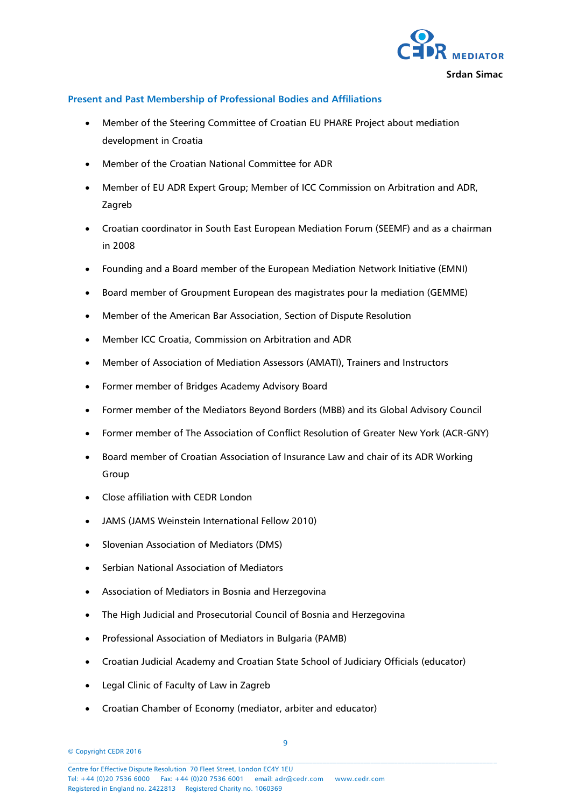

## **Present and Past Membership of Professional Bodies and Affiliations**

- Member of the Steering Committee of Croatian EU PHARE Project about mediation development in Croatia
- Member of the Croatian National Committee for ADR
- Member of EU ADR Expert Group; Member of ICC Commission on Arbitration and ADR, Zagreb
- Croatian coordinator in South East European Mediation Forum (SEEMF) and as a chairman in 2008
- Founding and a Board member of the European Mediation Network Initiative (EMNI)
- Board member of Groupment European des magistrates pour la mediation (GEMME)
- Member of the American Bar Association, Section of Dispute Resolution
- Member ICC Croatia, Commission on Arbitration and ADR
- Member of Association of Mediation Assessors (AMATI), Trainers and Instructors
- Former member of Bridges Academy Advisory Board
- Former member of the Mediators Beyond Borders (MBB) and its Global Advisory Council
- Former member of The Association of Conflict Resolution of Greater New York (ACR-GNY)
- Board member of Croatian Association of Insurance Law and chair of its ADR Working Group
- Close affiliation with CEDR London
- JAMS (JAMS Weinstein International Fellow 2010)
- Slovenian Association of Mediators (DMS)
- Serbian National Association of Mediators
- Association of Mediators in Bosnia and Herzegovina
- The High Judicial and Prosecutorial Council of Bosnia and Herzegovina
- Professional Association of Mediators in Bulgaria (PAMB)
- Croatian Judicial Academy and Croatian State School of Judiciary Officials (educator)
- Legal Clinic of Faculty of Law in Zagreb
- Croatian Chamber of Economy (mediator, arbiter and educator)